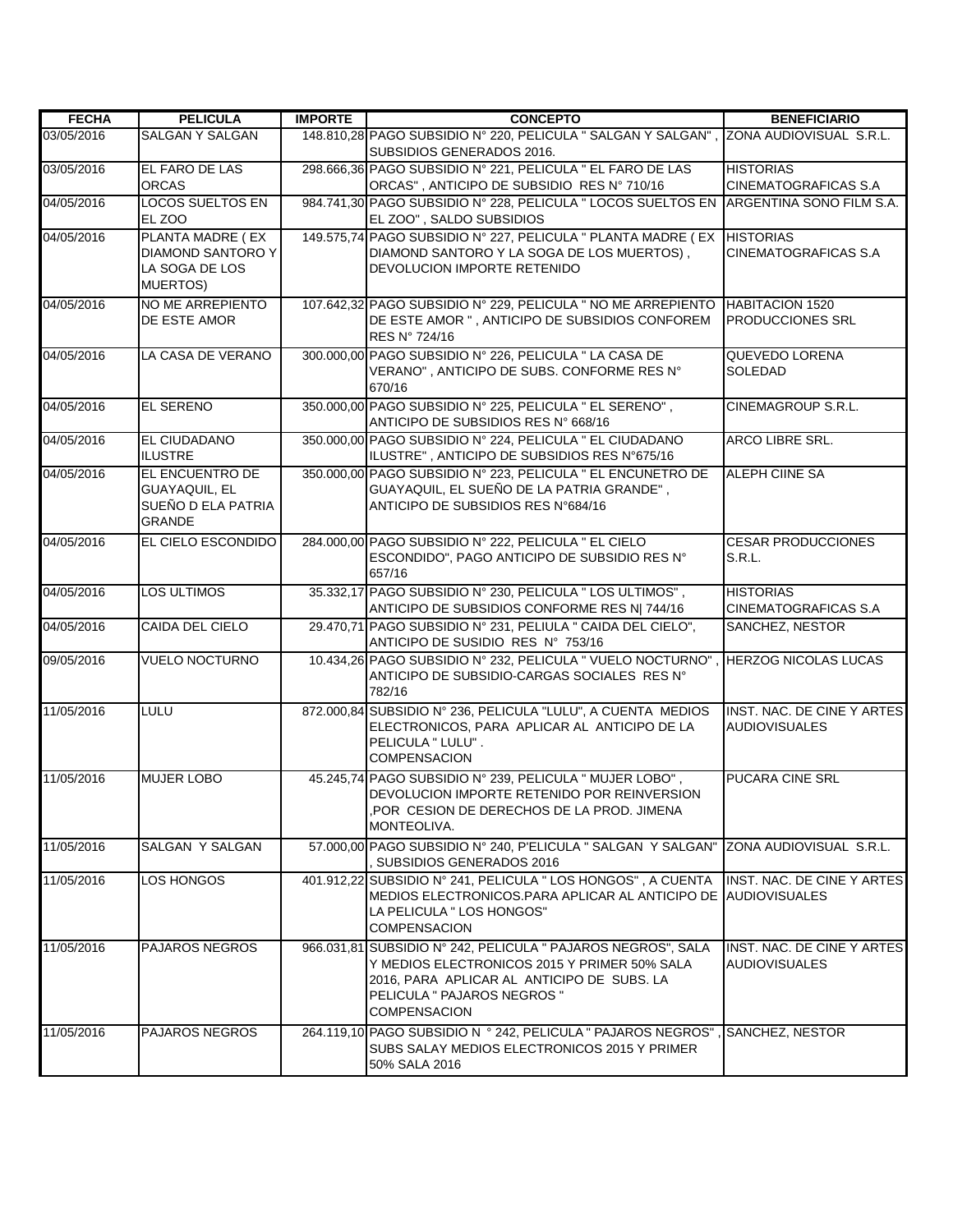| <b>FECHA</b> | <b>PELICULA</b>                                                            | <b>IMPORTE</b> | <b>CONCEPTO</b>                                                                                                                                                                                                  | <b>BENEFICIARIO</b>                                |
|--------------|----------------------------------------------------------------------------|----------------|------------------------------------------------------------------------------------------------------------------------------------------------------------------------------------------------------------------|----------------------------------------------------|
| 03/05/2016   | <b>SALGAN Y SALGAN</b>                                                     |                | 148.810,28 PAGO SUBSIDIO N° 220, PELICULA " SALGAN Y SALGAN", ZONA AUDIOVISUAL S.R.L.<br>SUBSIDIOS GENERADOS 2016.                                                                                               |                                                    |
| 03/05/2016   | EL FARO DE LAS<br><b>ORCAS</b>                                             |                | 298.666,36 PAGO SUBSIDIO Nº 221, PELICULA " EL FARO DE LAS<br>ORCAS", ANTICIPO DE SUBSIDIO RES Nº 710/16                                                                                                         | <b>HISTORIAS</b><br><b>CINEMATOGRAFICAS S.A</b>    |
| 04/05/2016   | <b>LOCOS SUELTOS EN</b><br>EL ZOO                                          |                | 984.741,30 PAGO SUBSIDIO Nº 228, PELICULA " LOCOS SUELTOS EN<br>EL ZOO", SALDO SUBSIDIOS                                                                                                                         | ARGENTINA SONO FILM S.A.                           |
| 04/05/2016   | PLANTA MADRE (EX<br><b>DIAMOND SANTORO Y</b><br>LA SOGA DE LOS<br>MUERTOS) |                | 149.575,74 PAGO SUBSIDIO Nº 227, PELICULA " PLANTA MADRE (EX<br>DIAMOND SANTORO Y LA SOGA DE LOS MUERTOS),<br>DEVOLUCION IMPORTE RETENIDO                                                                        | <b>HISTORIAS</b><br><b>CINEMATOGRAFICAS S.A</b>    |
| 04/05/2016   | NO ME ARREPIENTO<br>DE ESTE AMOR                                           |                | 107.642,32 PAGO SUBSIDIO Nº 229, PELICULA " NO ME ARREPIENTO<br>DE ESTE AMOR ", ANTICIPO DE SUBSIDIOS CONFOREM<br>RES N° 724/16                                                                                  | <b>HABITACION 1520</b><br><b>PRODUCCIONES SRL</b>  |
| 04/05/2016   | LA CASA DE VERANO                                                          |                | 300.000,00 PAGO SUBSIDIO Nº 226, PELICULA " LA CASA DE<br>VERANO", ANTICIPO DE SUBS. CONFORME RES N°<br>670/16                                                                                                   | <b>QUEVEDO LORENA</b><br><b>SOLEDAD</b>            |
| 04/05/2016   | <b>EL SERENO</b>                                                           |                | 350.000,00 PAGO SUBSIDIO N° 225, PELICULA " EL SERENO",<br>ANTICIPO DE SUBSIDIOS RES Nº 668/16                                                                                                                   | <b>CINEMAGROUP S.R.L.</b>                          |
| 04/05/2016   | <b>EL CIUDADANO</b><br><b>ILUSTRE</b>                                      |                | 350.000,00 PAGO SUBSIDIO Nº 224, PELICULA " EL CIUDADANO<br>ILUSTRE", ANTICIPO DE SUBSIDIOS RES N°675/16                                                                                                         | <b>ARCO LIBRE SRL.</b>                             |
| 04/05/2016   | EL ENCUENTRO DE<br>GUAYAQUIL, EL<br>SUEÑO D ELA PATRIA<br><b>GRANDE</b>    |                | 350.000,00 PAGO SUBSIDIO Nº 223, PELICULA " EL ENCUNETRO DE<br>GUAYAQUIL, EL SUEÑO DE LA PATRIA GRANDE",<br>ANTICIPO DE SUBSIDIOS RES N°684/16                                                                   | <b>ALEPH CIINE SA</b>                              |
| 04/05/2016   | EL CIELO ESCONDIDO                                                         |                | 284.000,00 PAGO SUBSIDIO Nº 222, PELICULA " EL CIELO<br>ESCONDIDO", PAGO ANTICIPO DE SUBSIDIO RES Nº<br>657/16                                                                                                   | <b>CESAR PRODUCCIONES</b><br>S.R.L.                |
| 04/05/2016   | <b>LOS ULTIMOS</b>                                                         |                | 35.332,17 PAGO SUBSIDIO Nº 230, PELICULA " LOS ULTIMOS",<br>ANTICIPO DE SUBSIDIOS CONFORME RES N  744/16                                                                                                         | <b>HISTORIAS</b><br>CINEMATOGRAFICAS S.A           |
| 04/05/2016   | <b>CAIDA DEL CIELO</b>                                                     |                | 29.470,71 PAGO SUBSIDIO Nº 231, PELIULA " CAIDA DEL CIELO",<br>ANTICIPO DE SUSIDIO RES Nº 753/16                                                                                                                 | SANCHEZ, NESTOR                                    |
| 09/05/2016   | <b>VUELO NOCTURNO</b>                                                      |                | 10.434,26 PAGO SUBSIDIO Nº 232, PELICULA " VUELO NOCTURNO"<br>ANTICIPO DE SUBSIDIO-CARGAS SOCIALES RES Nº<br>782/16                                                                                              | <b>HERZOG NICOLAS LUCAS</b>                        |
| 11/05/2016   | <b>LULU</b>                                                                |                | 872.000,84 SUBSIDIO Nº 236, PELICULA "LULU", A CUENTA MEDIOS<br>ELECTRONICOS, PARA APLICAR AL ANTICIPO DE LA<br>PELICULA " LULU".<br><b>COMPENSACION</b>                                                         | INST. NAC. DE CINE Y ARTES<br><b>AUDIOVISUALES</b> |
| 11/05/2016   | <b>MUJER LOBO</b>                                                          |                | 45.245,74 PAGO SUBSIDIO Nº 239, PELICULA " MUJER LOBO",<br>DEVOLUCION IMPORTE RETENIDO POR REINVERSION<br>, POR CESION DE DERECHOS DE LA PROD. JIMENA<br>MONTEOLIVA.                                             | <b>PUCARA CINE SRL</b>                             |
| 11/05/2016   | SALGAN Y SALGAN                                                            |                | 57.000,00 PAGO SUBSIDIO Nº 240, P'ELICULA " SALGAN Y SALGAN" ZONA AUDIOVISUAL S.R.L.<br>SUBSIDIOS GENERADOS 2016                                                                                                 |                                                    |
| 11/05/2016   | LOS HONGOS                                                                 |                | 401.912.22 SUBSIDIO Nº 241, PELICULA " LOS HONGOS", A CUENTA<br>MEDIOS ELECTRONICOS.PARA APLICAR AL ANTICIPO DE AUDIOVISUALES<br>LA PELICULA " LOS HONGOS"<br><b>COMPENSACION</b>                                | <b>INST. NAC. DE CINE Y ARTES</b>                  |
| 11/05/2016   | <b>PAJAROS NEGROS</b>                                                      |                | 966.031,81 SUBSIDIO Nº 242, PELICULA " PAJAROS NEGROS", SALA<br>Y MEDIOS ELECTRONICOS 2015 Y PRIMER 50% SALA<br>2016, PARA APLICAR AL ANTICIPO DE SUBS. LA<br>PELICULA " PAJAROS NEGROS "<br><b>COMPENSACION</b> | INST. NAC. DE CINE Y ARTES<br><b>AUDIOVISUALES</b> |
| 11/05/2016   | <b>PAJAROS NEGROS</b>                                                      |                | 264.119,10 PAGO SUBSIDIO N ° 242, PELICULA " PAJAROS NEGROS", SANCHEZ, NESTOR<br>SUBS SALAY MEDIOS ELECTRONICOS 2015 Y PRIMER<br>50% SALA 2016                                                                   |                                                    |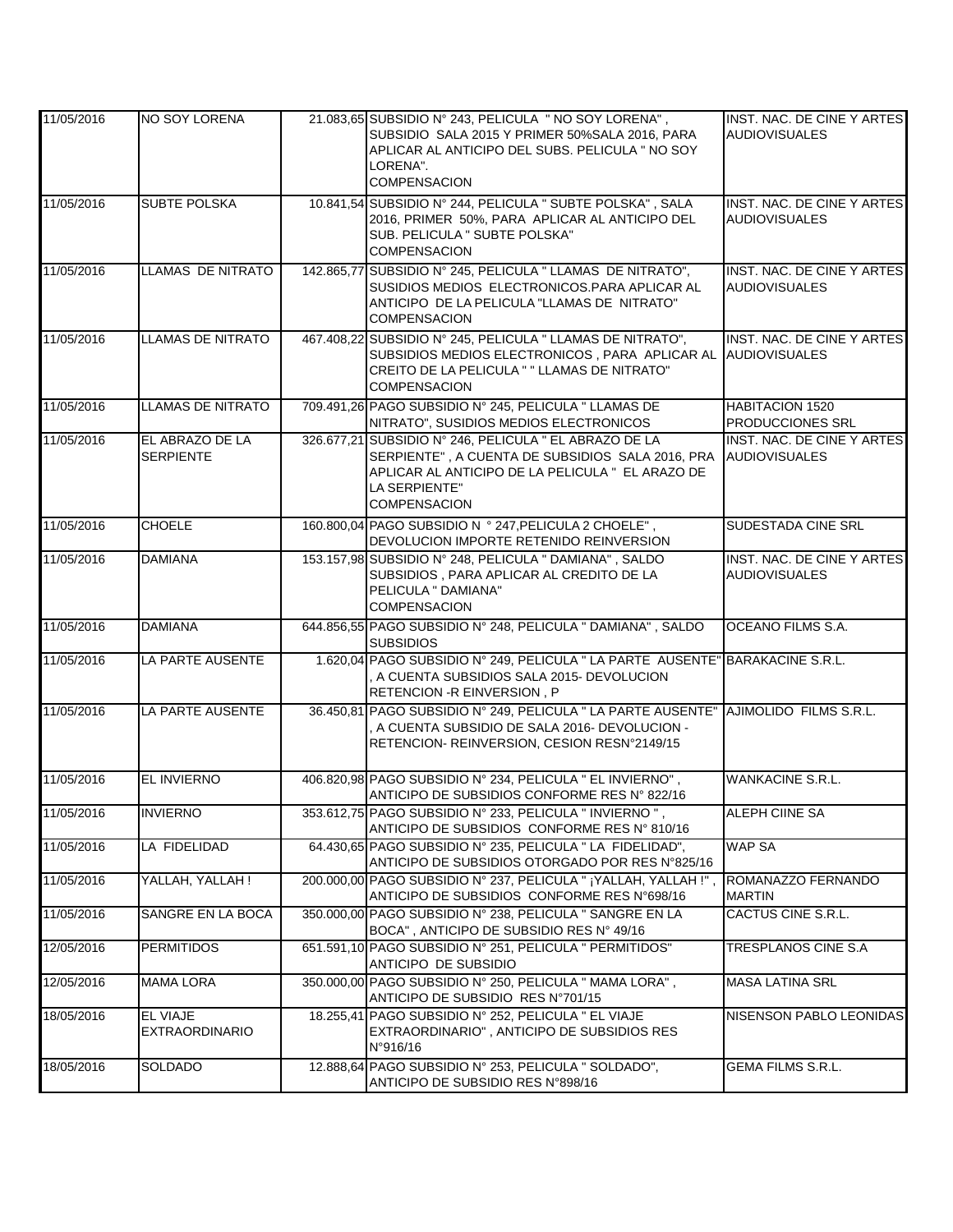| 11/05/2016 | NO SOY LORENA                       | 21.083,65 SUBSIDIO N° 243, PELICULA " NO SOY LORENA",<br>SUBSIDIO SALA 2015 Y PRIMER 50%SALA 2016, PARA<br>APLICAR AL ANTICIPO DEL SUBS. PELICULA " NO SOY<br>LORENA".<br><b>COMPENSACION</b>         | INST. NAC. DE CINE Y ARTES<br><b>AUDIOVISUALES</b>        |
|------------|-------------------------------------|-------------------------------------------------------------------------------------------------------------------------------------------------------------------------------------------------------|-----------------------------------------------------------|
| 11/05/2016 | <b>SUBTE POLSKA</b>                 | 10.841,54 SUBSIDIO Nº 244, PELICULA " SUBTE POLSKA", SALA<br>2016, PRIMER 50%, PARA APLICAR AL ANTICIPO DEL<br>SUB. PELICULA " SUBTE POLSKA"<br><b>COMPENSACION</b>                                   | INST. NAC. DE CINE Y ARTES<br><b>AUDIOVISUALES</b>        |
| 11/05/2016 | <b>LLAMAS DE NITRATO</b>            | 142.865,77 SUBSIDIO N° 245, PELICULA " LLAMAS DE NITRATO",<br>SUSIDIOS MEDIOS ELECTRONICOS.PARA APLICAR AL<br>ANTICIPO DE LA PELICULA "LLAMAS DE NITRATO"<br><b>COMPENSACION</b>                      | INST. NAC. DE CINE Y ARTES<br><b>AUDIOVISUALES</b>        |
| 11/05/2016 | <b>LLAMAS DE NITRATO</b>            | 467.408,22 SUBSIDIO Nº 245, PELICULA " LLAMAS DE NITRATO",<br>SUBSIDIOS MEDIOS ELECTRONICOS, PARA APLICAR AL<br>CREITO DE LA PELICULA " " LLAMAS DE NITRATO"<br><b>COMPENSACION</b>                   | INST. NAC. DE CINE Y ARTES<br><b>AUDIOVISUALES</b>        |
| 11/05/2016 | <b>LLAMAS DE NITRATO</b>            | 709.491,26 PAGO SUBSIDIO Nº 245, PELICULA " LLAMAS DE<br>NITRATO", SUSIDIOS MEDIOS ELECTRONICOS                                                                                                       | HABITACION 1520<br><b>PRODUCCIONES SRL</b>                |
| 11/05/2016 | EL ABRAZO DE LA<br><b>SERPIENTE</b> | 326.677,21 SUBSIDIO Nº 246, PELICULA " EL ABRAZO DE LA<br>SERPIENTE", A CUENTA DE SUBSIDIOS SALA 2016, PRA<br>APLICAR AL ANTICIPO DE LA PELICULA "EL ARAZO DE<br>LA SERPIENTE"<br><b>COMPENSACION</b> | <b>INST. NAC. DE CINE Y ARTES</b><br><b>AUDIOVISUALES</b> |
| 11/05/2016 | <b>CHOELE</b>                       | 160.800,04 PAGO SUBSIDIO N ° 247, PELICULA 2 CHOELE",<br>DEVOLUCION IMPORTE RETENIDO REINVERSION                                                                                                      | SUDESTADA CINE SRL                                        |
| 11/05/2016 | <b>DAMIANA</b>                      | 153.157,98 SUBSIDIO N° 248, PELICULA " DAMIANA", SALDO<br>SUBSIDIOS, PARA APLICAR AL CREDITO DE LA<br>PELICULA " DAMIANA"<br><b>COMPENSACION</b>                                                      | INST. NAC. DE CINE Y ARTES<br><b>AUDIOVISUALES</b>        |
| 11/05/2016 | <b>DAMIANA</b>                      | 644.856,55 PAGO SUBSIDIO Nº 248, PELICULA " DAMIANA", SALDO<br><b>SUBSIDIOS</b>                                                                                                                       | OCEANO FILMS S.A.                                         |
| 11/05/2016 | LA PARTE AUSENTE                    | 1.620,04 PAGO SUBSIDIO N° 249, PELICULA " LA PARTE AUSENTE" BARAKACINE S.R.L.<br>A CUENTA SUBSIDIOS SALA 2015- DEVOLUCION<br>RETENCION - R EINVERSION, P                                              |                                                           |
| 11/05/2016 | LA PARTE AUSENTE                    | 36.450,81 PAGO SUBSIDIO N° 249, PELICULA " LA PARTE AUSENTE" AJIMOLIDO FILMS S.R.L.<br>A CUENTA SUBSIDIO DE SALA 2016- DEVOLUCION -<br>RETENCION- REINVERSION, CESION RESN°2149/15                    |                                                           |
| 11/05/2016 | <b>EL INVIERNO</b>                  | 406.820,98 PAGO SUBSIDIO Nº 234, PELICULA " EL INVIERNO",<br>ANTICIPO DE SUBSIDIOS CONFORME RES Nº 822/16                                                                                             | <b>WANKACINE S.R.L.</b>                                   |
| 11/05/2016 | <b>INVIERNO</b>                     | 353.612,75 PAGO SUBSIDIO Nº 233, PELICULA " INVIERNO ",<br>ANTICIPO DE SUBSIDIOS CONFORME RES Nº 810/16                                                                                               | <b>ALEPH CIINE SA</b>                                     |
| 11/05/2016 | LA FIDELIDAD                        | 64.430,65 PAGO SUBSIDIO Nº 235, PELICULA "LA FIDELIDAD",<br>ANTICIPO DE SUBSIDIOS OTORGADO POR RES N°825/16                                                                                           | <b>WAP SA</b>                                             |
| 11/05/2016 | YALLAH, YALLAH!                     | 200.000,00 PAGO SUBSIDIO Nº 237, PELICULA " ¡YALLAH, YALLAH !",<br>ANTICIPO DE SUBSIDIOS CONFORME RES N°698/16                                                                                        | ROMANAZZO FERNANDO<br><b>MARTIN</b>                       |
| 11/05/2016 | SANGRE EN LA BOCA                   | 350.000,00 PAGO SUBSIDIO N° 238, PELICULA " SANGRE EN LA<br>BOCA", ANTICIPO DE SUBSIDIO RES Nº 49/16                                                                                                  | CACTUS CINE S.R.L.                                        |
| 12/05/2016 | <b>PERMITIDOS</b>                   | 651.591,10 PAGO SUBSIDIO N° 251, PELICULA " PERMITIDOS"<br>ANTICIPO DE SUBSIDIO                                                                                                                       | TRESPLANOS CINE S.A                                       |
| 12/05/2016 | <b>MAMA LORA</b>                    | 350.000,00 PAGO SUBSIDIO N° 250, PELICULA " MAMA LORA",<br>ANTICIPO DE SUBSIDIO RES Nº701/15                                                                                                          | <b>MASA LATINA SRL</b>                                    |
| 18/05/2016 | EL VIAJE<br><b>EXTRAORDINARIO</b>   | 18.255.41 PAGO SUBSIDIO Nº 252, PELICULA " EL VIAJE<br>EXTRAORDINARIO", ANTICIPO DE SUBSIDIOS RES<br>N°916/16                                                                                         | NISENSON PABLO LEONIDAS                                   |
| 18/05/2016 | <b>SOLDADO</b>                      | 12.888,64 PAGO SUBSIDIO N° 253, PELICULA " SOLDADO",<br>ANTICIPO DE SUBSIDIO RES N°898/16                                                                                                             | <b>GEMA FILMS S.R.L.</b>                                  |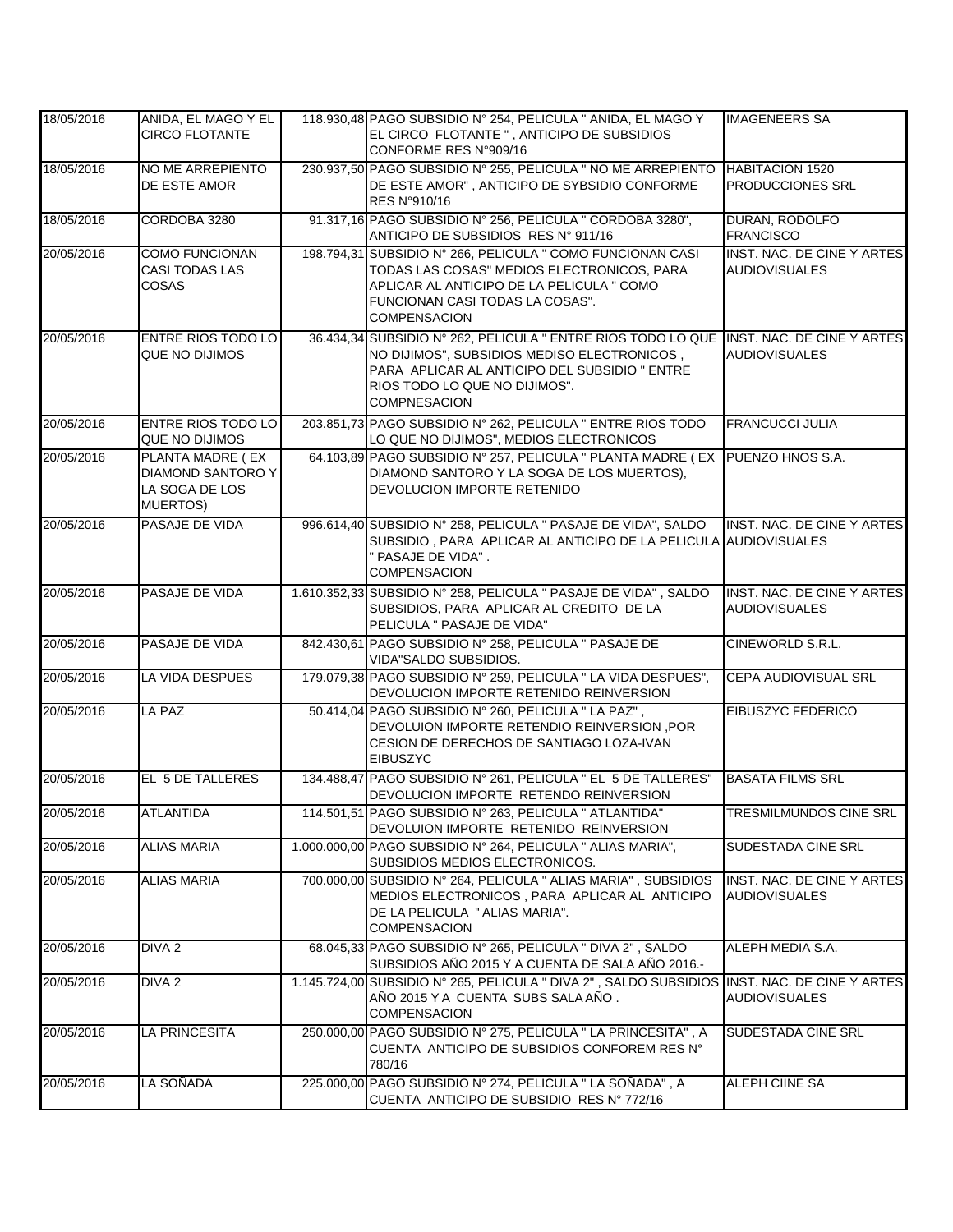| 18/05/2016 | ANIDA, EL MAGO Y EL<br><b>CIRCO FLOTANTE</b>                                       | 118.930,48 PAGO SUBSIDIO Nº 254, PELICULA " ANIDA, EL MAGO Y<br>EL CIRCO FLOTANTE ", ANTICIPO DE SUBSIDIOS<br>CONFORME RES N°909/16                                                                                                             | <b>IMAGENEERS SA</b>                                      |
|------------|------------------------------------------------------------------------------------|-------------------------------------------------------------------------------------------------------------------------------------------------------------------------------------------------------------------------------------------------|-----------------------------------------------------------|
| 18/05/2016 | NO ME ARREPIENTO<br>DE ESTE AMOR                                                   | 230.937,50 PAGO SUBSIDIO N° 255, PELICULA " NO ME ARREPIENTO HABITACION 1520<br>DE ESTE AMOR", ANTICIPO DE SYBSIDIO CONFORME<br>RES N°910/16                                                                                                    | <b>PRODUCCIONES SRL</b>                                   |
| 18/05/2016 | CORDOBA 3280                                                                       | 91.317,16 PAGO SUBSIDIO N° 256, PELICULA " CORDOBA 3280",<br>ANTICIPO DE SUBSIDIOS RES Nº 911/16                                                                                                                                                | DURAN, RODOLFO<br><b>FRANCISCO</b>                        |
| 20/05/2016 | <b>COMO FUNCIONAN</b><br><b>CASI TODAS LAS</b><br>COSAS                            | 198.794,31 SUBSIDIO Nº 266, PELICULA " COMO FUNCIONAN CASI<br>TODAS LAS COSAS" MEDIOS ELECTRONICOS, PARA<br>APLICAR AL ANTICIPO DE LA PELICULA " COMO<br>FUNCIONAN CASI TODAS LA COSAS".<br><b>COMPENSACION</b>                                 | INST. NAC. DE CINE Y ARTES<br><b>AUDIOVISUALES</b>        |
| 20/05/2016 | <b>ENTRE RIOS TODO LO</b><br>QUE NO DIJIMOS                                        | 36.434,34 SUBSIDIO N° 262, PELICULA " ENTRE RIOS TODO LO QUE INST. NAC. DE CINE Y ARTES<br>NO DIJIMOS", SUBSIDIOS MEDISO ELECTRONICOS,<br>PARA APLICAR AL ANTICIPO DEL SUBSIDIO " ENTRE<br>RIOS TODO LO QUE NO DIJIMOS".<br><b>COMPNESACION</b> | <b>AUDIOVISUALES</b>                                      |
| 20/05/2016 | <b>ENTRE RIOS TODO LO</b><br><b>QUE NO DIJIMOS</b>                                 | 203.851,73 PAGO SUBSIDIO Nº 262, PELICULA " ENTRE RIOS TODO<br>LO QUE NO DIJIMOS", MEDIOS ELECTRONICOS                                                                                                                                          | <b>FRANCUCCI JULIA</b>                                    |
| 20/05/2016 | PLANTA MADRE (EX<br><b>DIAMOND SANTORO Y</b><br>LA SOGA DE LOS<br><b>MUERTOS</b> ) | 64.103.89 PAGO SUBSIDIO Nº 257, PELICULA " PLANTA MADRE (EX PUENZO HNOS S.A.<br>DIAMOND SANTORO Y LA SOGA DE LOS MUERTOS),<br>DEVOLUCION IMPORTE RETENIDO                                                                                       |                                                           |
| 20/05/2016 | PASAJE DE VIDA                                                                     | 996.614,40 SUBSIDIO N° 258, PELICULA " PASAJE DE VIDA", SALDO<br>SUBSIDIO, PARA APLICAR AL ANTICIPO DE LA PELICULA AUDIOVISUALES<br>" PASAJE DE VIDA".<br><b>COMPENSACION</b>                                                                   | INST. NAC. DE CINE Y ARTES                                |
| 20/05/2016 | PASAJE DE VIDA                                                                     | 1.610.352,33 SUBSIDIO N° 258, PELICULA " PASAJE DE VIDA", SALDO<br>SUBSIDIOS, PARA APLICAR AL CREDITO DE LA<br>PELICULA " PASAJE DE VIDA"                                                                                                       | <b>INST. NAC. DE CINE Y ARTES</b><br><b>AUDIOVISUALES</b> |
| 20/05/2016 | PASAJE DE VIDA                                                                     | 842.430,61 PAGO SUBSIDIO Nº 258, PELICULA " PASAJE DE<br>VIDA"SALDO SUBSIDIOS.                                                                                                                                                                  | CINEWORLD S.R.L.                                          |
| 20/05/2016 | <b>LA VIDA DESPUES</b>                                                             | 179.079,38 PAGO SUBSIDIO Nº 259, PELICULA " LA VIDA DESPUES",<br>DEVOLUCION IMPORTE RETENIDO REINVERSION                                                                                                                                        | CEPA AUDIOVISUAL SRL                                      |
| 20/05/2016 | <b>LA PAZ</b>                                                                      | 50.414,04 PAGO SUBSIDIO N° 260, PELICULA "LA PAZ",<br>DEVOLUION IMPORTE RETENDIO REINVERSION, POR<br>CESION DE DERECHOS DE SANTIAGO LOZA-IVAN<br><b>EIBUSZYC</b>                                                                                | <b>EIBUSZYC FEDERICO</b>                                  |
| 20/05/2016 | EL 5 DE TALLERES                                                                   | 134.488,47 PAGO SUBSIDIO Nº 261, PELICULA " EL 5 DE TALLERES"<br>DEVOLUCION IMPORTE RETENDO REINVERSION                                                                                                                                         | <b>BASATA FILMS SRL</b>                                   |
| 20/05/2016 | <b>ATLANTIDA</b>                                                                   | 114.501,51 PAGO SUBSIDIO N° 263, PELICULA " ATLANTIDA"<br>DEVOLUION IMPORTE RETENIDO REINVERSION                                                                                                                                                | TRESMILMUNDOS CINE SRL                                    |
| 20/05/2016 | <b>ALIAS MARIA</b>                                                                 | 1.000.000,00 PAGO SUBSIDIO N° 264, PELICULA " ALIAS MARIA",<br>SUBSIDIOS MEDIOS ELECTRONICOS.                                                                                                                                                   | SUDESTADA CINE SRL                                        |
| 20/05/2016 | <b>ALIAS MARIA</b>                                                                 | 700.000,00 SUBSIDIO N° 264, PELICULA " ALIAS MARIA", SUBSIDIOS<br>MEDIOS ELECTRONICOS, PARA APLICAR AL ANTICIPO<br>DE LA PELICULA " ALIAS MARIA".<br><b>COMPENSACION</b>                                                                        | INST. NAC. DE CINE Y ARTES<br><b>AUDIOVISUALES</b>        |
| 20/05/2016 | DIVA <sub>2</sub>                                                                  | 68.045,33 PAGO SUBSIDIO N° 265, PELICULA " DIVA 2", SALDO<br>SUBSIDIOS AÑO 2015 Y A CUENTA DE SALA AÑO 2016.-                                                                                                                                   | ALEPH MEDIA S.A.                                          |
| 20/05/2016 | DIVA <sub>2</sub>                                                                  | 1.145.724,00 SUBSIDIO N° 265, PELICULA " DIVA 2", SALDO SUBSIDIOS INST. NAC. DE CINE Y ARTES<br>AÑO 2015 Y A CUENTA SUBS SALA AÑO.<br><b>COMPENSACION</b>                                                                                       | <b>AUDIOVISUALES</b>                                      |
| 20/05/2016 | <b>LA PRINCESITA</b>                                                               | 250.000,00 PAGO SUBSIDIO Nº 275, PELICULA "LA PRINCESITA", A<br>CUENTA ANTICIPO DE SUBSIDIOS CONFOREM RES N°<br>780/16                                                                                                                          | <b>SUDESTADA CINE SRL</b>                                 |
| 20/05/2016 | LA SOÑADA                                                                          | 225.000,00 PAGO SUBSIDIO N° 274, PELICULA " LA SOÑADA", A<br>CUENTA ANTICIPO DE SUBSIDIO RES Nº 772/16                                                                                                                                          | ALEPH CIINE SA                                            |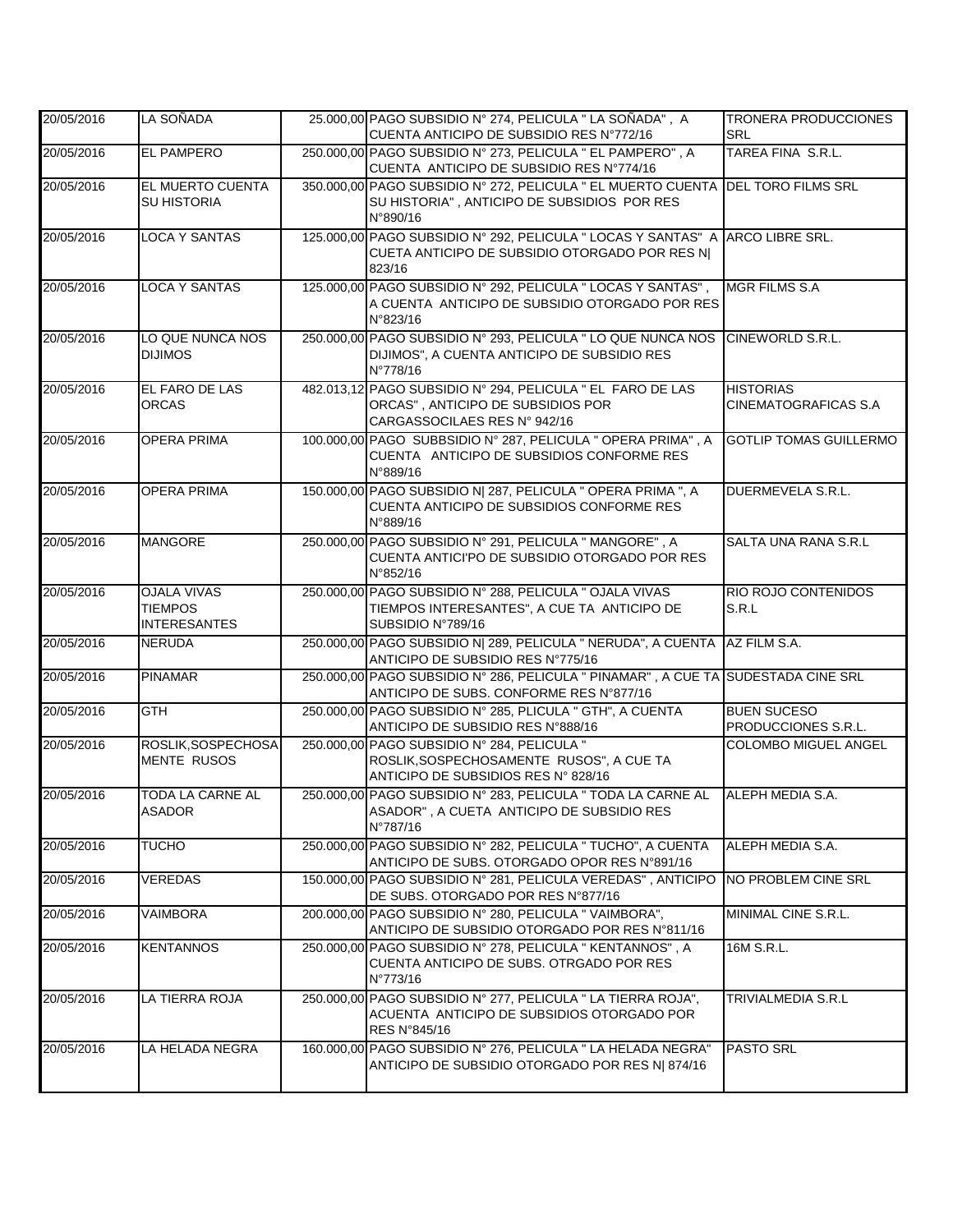| 20/05/2016 | LA SOÑADA                                                   | 25.000,00 PAGO SUBSIDIO Nº 274, PELICULA " LA SOÑADA", A<br>CUENTA ANTICIPO DE SUBSIDIO RES Nº772/16                                      | <b>TRONERA PRODUCCIONES</b><br><b>SRL</b>       |
|------------|-------------------------------------------------------------|-------------------------------------------------------------------------------------------------------------------------------------------|-------------------------------------------------|
| 20/05/2016 | <b>EL PAMPERO</b>                                           | 250.000,00 PAGO SUBSIDIO Nº 273, PELICULA " EL PAMPERO", A<br>CUENTA ANTICIPO DE SUBSIDIO RES Nº774/16                                    | TAREA FINA S.R.L.                               |
| 20/05/2016 | EL MUERTO CUENTA<br><b>SU HISTORIA</b>                      | 350.000,00 PAGO SUBSIDIO Nº 272, PELICULA " EL MUERTO CUENTA<br>SU HISTORIA", ANTICIPO DE SUBSIDIOS POR RES<br>N°890/16                   | <b>DEL TORO FILMS SRL</b>                       |
| 20/05/2016 | <b>LOCA Y SANTAS</b>                                        | 125.000,00 PAGO SUBSIDIO N° 292, PELICULA " LOCAS Y SANTAS" A ARCO LIBRE SRL.<br>CUETA ANTICIPO DE SUBSIDIO OTORGADO POR RES N <br>823/16 |                                                 |
| 20/05/2016 | <b>LOCA Y SANTAS</b>                                        | 125.000,00 PAGO SUBSIDIO Nº 292, PELICULA " LOCAS Y SANTAS",<br>A CUENTA ANTICIPO DE SUBSIDIO OTORGADO POR RES<br>N°823/16                | <b>MGR FILMS S.A</b>                            |
| 20/05/2016 | LO QUE NUNCA NOS<br><b>DIJIMOS</b>                          | 250.000,00 PAGO SUBSIDIO Nº 293, PELICULA " LO QUE NUNCA NOS<br>DIJIMOS", A CUENTA ANTICIPO DE SUBSIDIO RES<br>N°778/16                   | <b>CINEWORLD S.R.L.</b>                         |
| 20/05/2016 | EL FARO DE LAS<br><b>ORCAS</b>                              | 482.013,12 PAGO SUBSIDIO Nº 294, PELICULA " EL FARO DE LAS<br>ORCAS", ANTICIPO DE SUBSIDIOS POR<br>CARGASSOCILAES RES Nº 942/16           | <b>HISTORIAS</b><br><b>CINEMATOGRAFICAS S.A</b> |
| 20/05/2016 | <b>OPERA PRIMA</b>                                          | 100.000,00 PAGO SUBBSIDIO Nº 287, PELICULA " OPERA PRIMA", A<br>CUENTA ANTICIPO DE SUBSIDIOS CONFORME RES<br>N°889/16                     | <b>GOTLIP TOMAS GUILLERMO</b>                   |
| 20/05/2016 | <b>OPERA PRIMA</b>                                          | 150.000,00 PAGO SUBSIDIO N  287, PELICULA " OPERA PRIMA ", A<br>CUENTA ANTICIPO DE SUBSIDIOS CONFORME RES<br>N°889/16                     | DUERMEVELA S.R.L.                               |
| 20/05/2016 | <b>MANGORE</b>                                              | 250.000,00 PAGO SUBSIDIO Nº 291, PELICULA " MANGORE", A<br>CUENTA ANTICI'PO DE SUBSIDIO OTORGADO POR RES<br>N°852/16                      | SALTA UNA RANA S.R.L                            |
| 20/05/2016 | <b>OJALA VIVAS</b><br><b>TIEMPOS</b><br><b>INTERESANTES</b> | 250.000,00 PAGO SUBSIDIO Nº 288, PELICULA " OJALA VIVAS<br>TIEMPOS INTERESANTES", A CUE TA ANTICIPO DE<br>SUBSIDIO N°789/16               | RIO ROJO CONTENIDOS<br>S.R.L                    |
| 20/05/2016 | <b>NERUDA</b>                                               | 250.000,00 PAGO SUBSIDIO N  289, PELICULA " NERUDA", A CUENTA<br>ANTICIPO DE SUBSIDIO RES Nº775/16                                        | AZ FILM S.A.                                    |
| 20/05/2016 | <b>PINAMAR</b>                                              | 250.000,00 PAGO SUBSIDIO Nº 286, PELICULA " PINAMAR", A CUE TA SUDESTADA CINE SRL<br>ANTICIPO DE SUBS. CONFORME RES N°877/16              |                                                 |
| 20/05/2016 | <b>GTH</b>                                                  | 250.000,00 PAGO SUBSIDIO N° 285, PLICULA " GTH", A CUENTA<br>ANTICIPO DE SUBSIDIO RES N°888/16                                            | <b>BUEN SUCESO</b><br>PRODUCCIONES S.R.L.       |
| 20/05/2016 | ROSLIK, SOSPECHOSA<br><b>MENTE RUSOS</b>                    | 250.000,00 PAGO SUBSIDIO N° 284, PELICULA "<br>ROSLIK, SOSPECHOSAMENTE RUSOS", A CUE TA<br>ANTICIPO DE SUBSIDIOS RES Nº 828/16            | <b>COLOMBO MIGUEL ANGEL</b>                     |
| 20/05/2016 | TODA LA CARNE AL<br>ASADOR                                  | 250.000,00 PAGO SUBSIDIO Nº 283, PELICULA " TODA LA CARNE AL<br>ASADOR", A CUETA ANTICIPO DE SUBSIDIO RES<br>N°787/16                     | ALEPH MEDIA S.A.                                |
| 20/05/2016 | <b>TUCHO</b>                                                | 250.000,00 PAGO SUBSIDIO Nº 282, PELICULA " TUCHO", A CUENTA<br>ANTICIPO DE SUBS. OTORGADO OPOR RES N°891/16                              | ALEPH MEDIA S.A.                                |
| 20/05/2016 | VEREDAS                                                     | 150.000,00 PAGO SUBSIDIO Nº 281, PELICULA VEREDAS", ANTICIPO<br>DE SUBS. OTORGADO POR RES N°877/16                                        | NO PROBLEM CINE SRL                             |
| 20/05/2016 | <b>VAIMBORA</b>                                             | 200.000,00 PAGO SUBSIDIO Nº 280, PELICULA "VAIMBORA",<br>ANTICIPO DE SUBSIDIO OTORGADO POR RES N°811/16                                   | MINIMAL CINE S.R.L.                             |
| 20/05/2016 | <b>KENTANNOS</b>                                            | 250.000,00 PAGO SUBSIDIO Nº 278, PELICULA " KENTANNOS", A<br>CUENTA ANTICIPO DE SUBS. OTRGADO POR RES<br>N°773/16                         | 16M S.R.L.                                      |
| 20/05/2016 | LA TIERRA ROJA                                              | 250.000,00 PAGO SUBSIDIO Nº 277, PELICULA " LA TIERRA ROJA",<br>ACUENTA ANTICIPO DE SUBSIDIOS OTORGADO POR<br>RES N°845/16                | TRIVIALMEDIA S.R.L                              |
| 20/05/2016 | LA HELADA NEGRA                                             | 160.000,00 PAGO SUBSIDIO Nº 276, PELICULA " LA HELADA NEGRA"<br>ANTICIPO DE SUBSIDIO OTORGADO POR RES N  874/16                           | <b>PASTO SRL</b>                                |